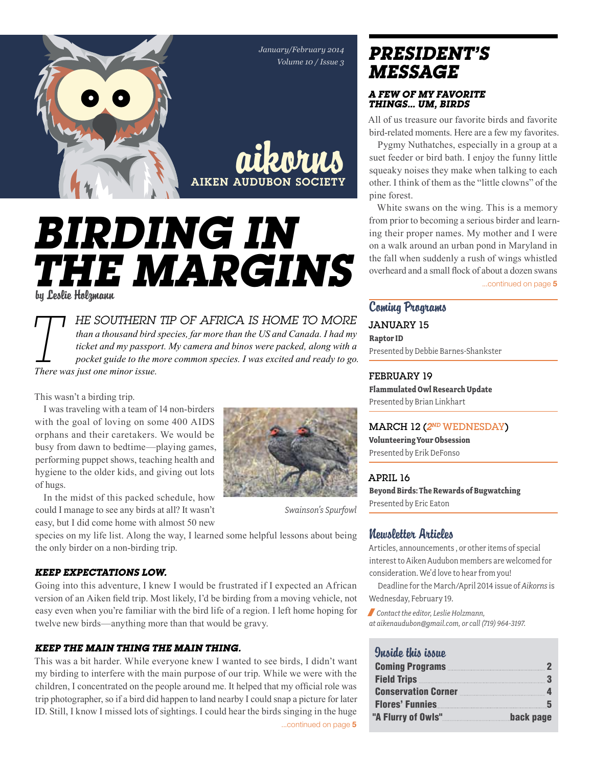

# *Birding in the margins* by Leslie Holzmann

*T he southern tip of Africa is home to more than a thousand bird species, far more than the US and Canada. I had my ticket and my passport. My camera and binos were packed, along with a pocket guide to the more common species. I was excited and ready to go. There was just one minor issue.*

This wasn't a birding trip.

I was traveling with a team of 14 non-birders with the goal of loving on some 400 AIDS orphans and their caretakers. We would be busy from dawn to bedtime—playing games, performing puppet shows, teaching health and hygiene to the older kids, and giving out lots of hugs.

In the midst of this packed schedule, how could I manage to see any birds at all? It wasn't easy, but I did come home with almost 50 new

species on my life list. Along the way, I learned some helpful lessons about being the only birder on a non-birding trip.

#### *Keep expectations low.*

Going into this adventure, I knew I would be frustrated if I expected an African version of an Aiken field trip. Most likely, I'd be birding from a moving vehicle, not easy even when you're familiar with the bird life of a region. I left home hoping for twelve new birds—anything more than that would be gravy.

#### *Keep the main thing the main thing.*

This was a bit harder. While everyone knew I wanted to see birds, I didn't want my birding to interfere with the main purpose of our trip. While we were with the children, I concentrated on the people around me. It helped that my official role was trip photographer, so if a bird did happen to land nearby I could snap a picture for later ID. Still, I know I missed lots of sightings. I could hear the birds singing in the huge

...continued on page 5

## *president's message*

#### *A few of my favorite things… um, birds*

All of us treasure our favorite birds and favorite bird-related moments. Here are a few my favorites.

Pygmy Nuthatches, especially in a group at a suet feeder or bird bath. I enjoy the funny little squeaky noises they make when talking to each other. I think of them as the "little clowns" of the pine forest.

White swans on the wing. This is a memory from prior to becoming a serious birder and learning their proper names. My mother and I were on a walk around an urban pond in Maryland in the fall when suddenly a rush of wings whistled overheard and a small flock of about a dozen swans

...continued on page 5

## Coming Programs JANUARY 15 **Raptor ID** Presented by Debbie Barnes-Shankster

February 19 **Flammulated Owl Research Update** Presented by Brian Linkhart

#### MARCH 12 (*2nd* WEDNESDAY)

**Volunteering Your Obsession** Presented by Erik DeFonso

#### April 16

**Beyond Birds: The Rewards of Bugwatching** Presented by Eric Eaton

### Newsletter Articles

Articles, announcements , or other items of special interest to Aiken Audubon members are welcomed for consideration. We'd love to hear from you!

Deadline for the March/April 2014 issue of *Aikorns* is Wednesday, February 19.

/ *Contact the editor, Leslie Holzmann, at aikenaudubon@gmail.com, or call (719) 964-3197.*

### Quaido this issuo

| Coming Programs 2008         |           |
|------------------------------|-----------|
|                              |           |
| <b>Conservation Corner</b> 4 |           |
| <b>Flores' Funnies</b> 5     |           |
| "A Flurry of Owls"           | back page |



*Swainson's Spurfowl*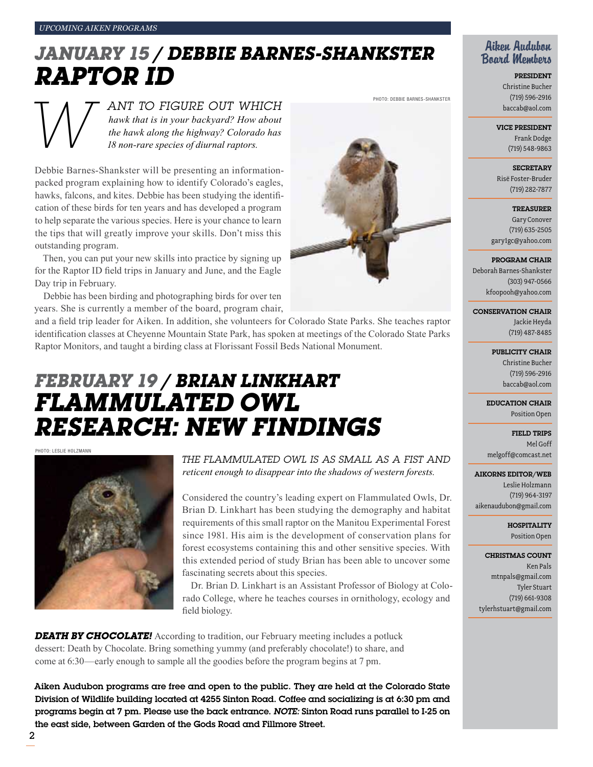# *January 15 / debbie barnes-shankster raptor ID*

*W ant to figure out which hawk that is in your backyard? How about the hawk along the highway? Colorado has 18 non-rare species of diurnal raptors.* 

Debbie Barnes-Shankster will be presenting an informationpacked program explaining how to identify Colorado's eagles, hawks, falcons, and kites. Debbie has been studying the identification of these birds for ten years and has developed a program to help separate the various species. Here is your chance to learn the tips that will greatly improve your skills. Don't miss this outstanding program.

Then, you can put your new skills into practice by signing up for the Raptor ID field trips in January and June, and the Eagle Day trip in February.

Debbie has been birding and photographing birds for over ten years. She is currently a member of the board, program chair,

and a field trip leader for Aiken. In addition, she volunteers for Colorado State Parks. She teaches raptor identification classes at Cheyenne Mountain State Park, has spoken at meetings of the Colorado State Parks Raptor Monitors, and taught a birding class at Florissant Fossil Beds National Monument.

# *February 19 / Brian Linkhart Flammulated Owl Research: New Findings*

Photo: leslie holzmann



*The Flammulated Owl is as small as a fist and reticent enough to disappear into the shadows of western forests.* 

Considered the country's leading expert on Flammulated Owls, Dr. Brian D. Linkhart has been studying the demography and habitat requirements of this small raptor on the Manitou Experimental Forest since 1981. His aim is the development of conservation plans for forest ecosystems containing this and other sensitive species. With this extended period of study Brian has been able to uncover some fascinating secrets about this species.

Dr. Brian D. Linkhart is an Assistant Professor of Biology at Colorado College, where he teaches courses in ornithology, ecology and field biology.

**DEATH BY CHOCOLATE!** According to tradition, our February meeting includes a potluck dessert: Death by Chocolate. Bring something yummy (and preferably chocolate!) to share, and come at 6:30—early enough to sample all the goodies before the program begins at 7 pm.

Aiken Audubon programs are free and open to the public. They are held at the Colorado State Division of Wildlife building located at 4255 Sinton Road. Coffee and socializing is at 6:30 pm and programs begin at 7 pm. Please use the back entrance. *Note:* Sinton Road runs parallel to I-25 on the east side, between Garden of the Gods Road and Fillmore Street.



President Christine Bucher (719) 596-2916 baccab@aol.com

Vice President Frank Dodge

(719) 548-9863

**SECRETARY** Risë Foster-Bruder (719) 282-7877

**TREASURER** 

Gary Conover (719) 635-2505 gary1gc@yahoo.com

Program Chair

Deborah Barnes-Shankster (303) 947-0566 kfoopooh@yahoo.com

Conservation Chair

Jackie Heyda (719) 487-8485

PUBLICITY CHAIR Christine Bucher (719) 596-2916 baccab@aol.com

Education Chair Position Open

Field Trips Mel Goff melgoff@comcast.net

Aikorns Editor/Web

Leslie Holzmann (719) 964-3197 aikenaudubon@gmail.com

> **HOSPITALITY** Position Open

Christmas Count Ken Pals mtnpals@gmail.com Tyler Stuart (719) 661-9308 tylerhstuart@gmail.com



PHOTO: DEBBIE BARNES-SHANKSTER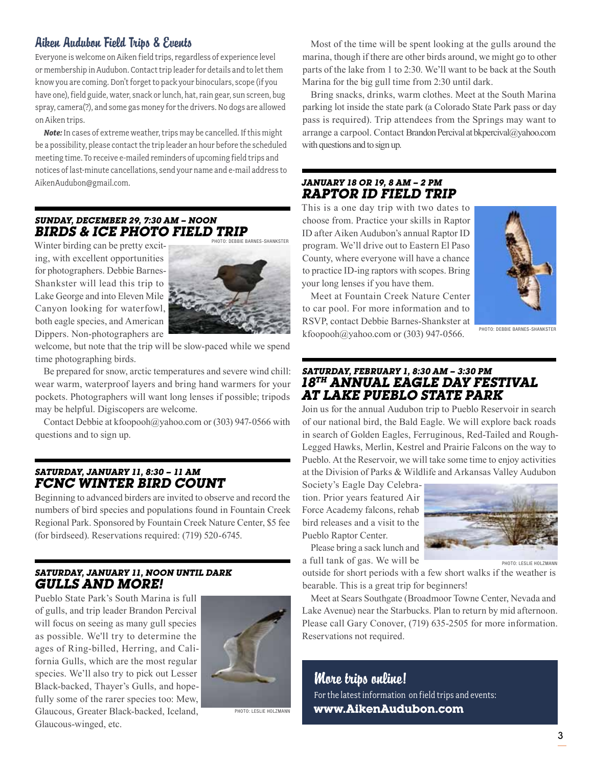## Aiken Audubon Field Trips & Events

Everyone is welcome on Aiken field trips, regardless of experience level or membership in Audubon. Contact trip leader for details and to let them know you are coming. Don't forget to pack your binoculars, scope (if you have one), field guide, water, snack or lunch, hat, rain gear, sun screen, bug spray, camera(?), and some gas money for the drivers. No dogs are allowed on Aiken trips.

*Note:* In cases of extreme weather, trips may be cancelled. If this might be a possibility, please contact the trip leader an hour before the scheduled meeting time. To receive e-mailed reminders of upcoming field trips and notices of last-minute cancellations, send your name and e-mail address to AikenAudubon@gmail.com.

### *Sunday, December 29, 7:30 am – Noon Birds & ice photo field trip*

Winter birding can be pretty exciting, with excellent opportunities for photographers. Debbie Barnes-Shankster will lead this trip to Lake George and into Eleven Mile Canyon looking for waterfowl, both eagle species, and American Dippers. Non-photographers are



welcome, but note that the trip will be slow-paced while we spend time photographing birds.

Be prepared for snow, arctic temperatures and severe wind chill: wear warm, waterproof layers and bring hand warmers for your pockets. Photographers will want long lenses if possible; tripods may be helpful. Digiscopers are welcome.

Contact Debbie at kfoopooh@yahoo.com or (303) 947-0566 with questions and to sign up.

#### *Saturday, January 11, 8:30 – 11 am FCNC winter bird count*

Beginning to advanced birders are invited to observe and record the numbers of bird species and populations found in Fountain Creek Regional Park. Sponsored by Fountain Creek Nature Center, \$5 fee (for birdseed). Reservations required: (719) 520-6745.

#### *Saturday, January 11, noon until dark Gulls and More!*

Pueblo State Park's South Marina is full of gulls, and trip leader Brandon Percival will focus on seeing as many gull species as possible. We'll try to determine the ages of Ring-billed, Herring, and California Gulls, which are the most regular species. We'll also try to pick out Lesser Black-backed, Thayer's Gulls, and hopefully some of the rarer species too: Mew, Glaucous, Greater Black-backed, Iceland, Glaucous-winged, etc.



Photo: Leslie Holzmann

Most of the time will be spent looking at the gulls around the marina, though if there are other birds around, we might go to other parts of the lake from 1 to 2:30. We'll want to be back at the South Marina for the big gull time from 2:30 until dark.

Bring snacks, drinks, warm clothes. Meet at the South Marina parking lot inside the state park (a Colorado State Park pass or day pass is required). Trip attendees from the Springs may want to arrange a carpool. Contact Brandon Percival at bkpercival@yahoo.com with questions and to sign up.

#### *January 18 or 19, 8 am – 2 pm raptor ID field trip*

This is a one day trip with two dates to choose from. Practice your skills in Raptor ID after Aiken Audubon's annual Raptor ID program. We'll drive out to Eastern El Paso County, where everyone will have a chance to practice ID-ing raptors with scopes. Bring your long lenses if you have them.

Meet at Fountain Creek Nature Center to car pool. For more information and to RSVP, contact Debbie Barnes-Shankster at kfoopooh@yahoo.com or (303) 947-0566.



Photo: debbie barnes-shankster

#### *Saturday, February 1, 8:30 am – 3:30 pm 18th Annual Eagle Day Festival at Lake Pueblo State Park*

Join us for the annual Audubon trip to Pueblo Reservoir in search of our national bird, the Bald Eagle. We will explore back roads in search of Golden Eagles, Ferruginous, Red-Tailed and Rough-Legged Hawks, Merlin, Kestrel and Prairie Falcons on the way to Pueblo. At the Reservoir, we will take some time to enjoy activities at the Division of Parks & Wildlife and Arkansas Valley Audubon

Society's Eagle Day Celebration. Prior years featured Air Force Academy falcons, rehab bird releases and a visit to the Pueblo Raptor Center.

Please bring a sack lunch and a full tank of gas. We will be



Photo: Leslie Holzmann

outside for short periods with a few short walks if the weather is bearable. This is a great trip for beginners!

Meet at Sears Southgate (Broadmoor Towne Center, Nevada and Lake Avenue) near the Starbucks. Plan to return by mid afternoon. Please call Gary Conover, (719) 635-2505 for more information. Reservations not required.

More trips online! For the latest information on field trips and events: **www.AikenAudubon.com**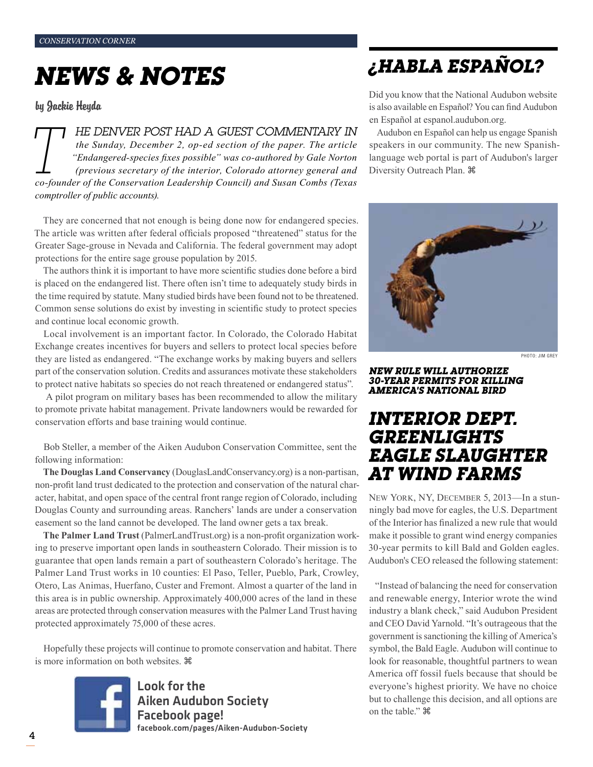# *news & notes*

by Jackie Heyda

**TTANUANT POST HAD A GUEST COMMENTARY IN**<br>the Sunday, December 2, op-ed section of the paper. The article<br>"Endangered-species fixes possible" was co-authored by Gale Norton<br>(previous secretary of the interior, Colorado att *the Sunday, December 2, op-ed section of the paper. The article "Endangered-species fixes possible" was co-authored by Gale Norton (previous secretary of the interior, Colorado attorney general and co-founder of the Conservation Leadership Council) and Susan Combs (Texas comptroller of public accounts).* 

They are concerned that not enough is being done now for endangered species. The article was written after federal officials proposed "threatened" status for the Greater Sage-grouse in Nevada and California. The federal government may adopt protections for the entire sage grouse population by 2015.

The authors think it is important to have more scientific studies done before a bird is placed on the endangered list. There often isn't time to adequately study birds in the time required by statute. Many studied birds have been found not to be threatened. Common sense solutions do exist by investing in scientific study to protect species and continue local economic growth.

Local involvement is an important factor. In Colorado, the Colorado Habitat Exchange creates incentives for buyers and sellers to protect local species before they are listed as endangered. "The exchange works by making buyers and sellers part of the conservation solution. Credits and assurances motivate these stakeholders to protect native habitats so species do not reach threatened or endangered status".

 A pilot program on military bases has been recommended to allow the military to promote private habitat management. Private landowners would be rewarded for conservation efforts and base training would continue.

Bob Steller, a member of the Aiken Audubon Conservation Committee, sent the following information:

**The Douglas Land Conservancy** (DouglasLandConservancy.org) is a non-partisan, non-profit land trust dedicated to the protection and conservation of the natural character, habitat, and open space of the central front range region of Colorado, including Douglas County and surrounding areas. Ranchers' lands are under a conservation easement so the land cannot be developed. The land owner gets a tax break.

**The Palmer Land Trust** (PalmerLandTrust.org) is a non-profit organization working to preserve important open lands in southeastern Colorado. Their mission is to guarantee that open lands remain a part of southeastern Colorado's heritage. The Palmer Land Trust works in 10 counties: El Paso, Teller, Pueblo, Park, Crowley, Otero, Las Animas, Huerfano, Custer and Fremont. Almost a quarter of the land in this area is in public ownership. Approximately 400,000 acres of the land in these areas are protected through conservation measures with the Palmer Land Trust having protected approximately 75,000 of these acres.

Hopefully these projects will continue to promote conservation and habitat. There is more information on both websites.



Look for the Aiken Audubon Society Facebook page! facebook.com/pages/Aiken-Audubon-Society

## *¿Habla Español?*

Did you know that the National Audubon website is also available en Español? You can find Audubon en Español at espanol.audubon.org.

Audubon en Español can help us engage Spanish speakers in our community. The new Spanishlanguage web portal is part of Audubon's larger Diversity Outreach Plan.



PHOTO: JIM GREY

#### *New Rule Will Authorize 30-Year Permits for Killing America's National Bird*

## *Interior Dept. Greenlights Eagle Slaughter at Wind Farms*

New York, NY, December 5, 2013—In a stunningly bad move for eagles, the U.S. Department of the Interior has finalized a new rule that would make it possible to grant wind energy companies 30-year permits to kill Bald and Golden eagles. Audubon's CEO released the following statement:

"Instead of balancing the need for conservation and renewable energy, Interior wrote the wind industry a blank check," said Audubon President and CEO David Yarnold. "It's outrageous that the government is sanctioning the killing of America's symbol, the Bald Eagle. Audubon will continue to look for reasonable, thoughtful partners to wean America off fossil fuels because that should be everyone's highest priority. We have no choice but to challenge this decision, and all options are on the table."  $\mathcal{H}$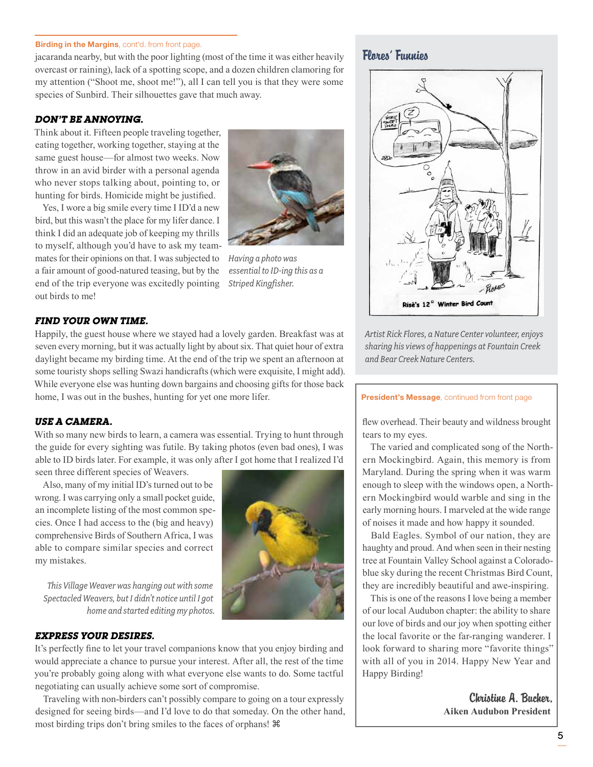#### Birding in the Margins, cont'd. from front page.

jacaranda nearby, but with the poor lighting (most of the time it was either heavily overcast or raining), lack of a spotting scope, and a dozen children clamoring for my attention ("Shoot me, shoot me!"), all I can tell you is that they were some species of Sunbird. Their silhouettes gave that much away.

#### *Don't be annoying.*

Think about it. Fifteen people traveling together, eating together, working together, staying at the same guest house—for almost two weeks. Now throw in an avid birder with a personal agenda who never stops talking about, pointing to, or hunting for birds. Homicide might be justified.

Yes, I wore a big smile every time I ID'd a new bird, but this wasn't the place for my lifer dance. I think I did an adequate job of keeping my thrills to myself, although you'd have to ask my teammates for their opinions on that. I was subjected to a fair amount of good-natured teasing, but by the end of the trip everyone was excitedly pointing out birds to me!



*Having a photo was essential to ID-ing this as a Striped Kingfisher.*

#### *Find your own time.*

Happily, the guest house where we stayed had a lovely garden. Breakfast was at seven every morning, but it was actually light by about six. That quiet hour of extra daylight became my birding time. At the end of the trip we spent an afternoon at some touristy shops selling Swazi handicrafts (which were exquisite, I might add). While everyone else was hunting down bargains and choosing gifts for those back home, I was out in the bushes, hunting for yet one more lifer.

#### *Use a camera.*

With so many new birds to learn, a camera was essential. Trying to hunt through the guide for every sighting was futile. By taking photos (even bad ones), I was able to ID birds later. For example, it was only after I got home that I realized I'd

seen three different species of Weavers.

Also, many of my initial ID's turned out to be wrong. I was carrying only a small pocket guide, an incomplete listing of the most common species. Once I had access to the (big and heavy) comprehensive Birds of Southern Africa, I was able to compare similar species and correct my mistakes.

*This Village Weaver was hanging out with some Spectacled Weavers, but I didn't notice until I got home and started editing my photos.*

#### *Express your desires.*

It's perfectly fine to let your travel companions know that you enjoy birding and would appreciate a chance to pursue your interest. After all, the rest of the time you're probably going along with what everyone else wants to do. Some tactful negotiating can usually achieve some sort of compromise.

Traveling with non-birders can't possibly compare to going on a tour expressly designed for seeing birds—and I'd love to do that someday. On the other hand, most birding trips don't bring smiles to the faces of orphans!

### Flores' Funnies



*Artist Rick Flores, a Nature Center volunteer, enjoys sharing his views of happenings at Fountain Creek and Bear Creek Nature Centers.* 

#### President's Message, continued from front page

flew overhead. Their beauty and wildness brought tears to my eyes.

The varied and complicated song of the Northern Mockingbird. Again, this memory is from Maryland. During the spring when it was warm enough to sleep with the windows open, a Northern Mockingbird would warble and sing in the early morning hours. I marveled at the wide range of noises it made and how happy it sounded.

Bald Eagles. Symbol of our nation, they are haughty and proud. And when seen in their nesting tree at Fountain Valley School against a Coloradoblue sky during the recent Christmas Bird Count, they are incredibly beautiful and awe-inspiring.

This is one of the reasons I love being a member of our local Audubon chapter: the ability to share our love of birds and our joy when spotting either the local favorite or the far-ranging wanderer. I look forward to sharing more "favorite things" with all of you in 2014. Happy New Year and Happy Birding!

> Christine A. Bucher, **Aiken Audubon President**